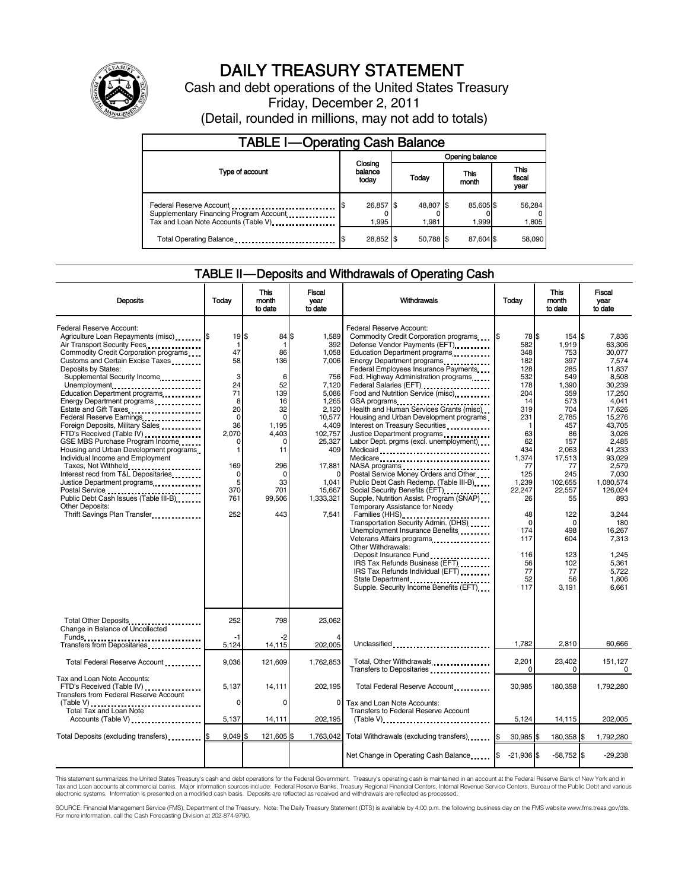

# DAILY TREASURY STATEMENT

Cash and debt operations of the United States Treasury Friday, December 2, 2011

(Detail, rounded in millions, may not add to totals)

| <b>TABLE I-Operating Cash Balance</b>                                                                      |                             |  |                    |                   |                               |                 |  |  |
|------------------------------------------------------------------------------------------------------------|-----------------------------|--|--------------------|-------------------|-------------------------------|-----------------|--|--|
|                                                                                                            | Closing<br>balance<br>today |  | Opening balance    |                   |                               |                 |  |  |
| Type of account                                                                                            |                             |  | Today              | This<br>month     | <b>This</b><br>fiscal<br>year |                 |  |  |
| Federal Reserve Account<br>Supplementary Financing Program Account<br>Tax and Loan Note Accounts (Table V) | 26,857 \$<br>1.995          |  | 48,807 \$<br>1.981 | 85,605\$<br>1.999 |                               | 56,284<br>1,805 |  |  |
| Total Operating Balance                                                                                    | 28,852 \$                   |  | 50.788 \$          | 87,604 \$         |                               | 58,090          |  |  |

#### TABLE II — Deposits and Withdrawals of Operating Cash

| <b>Deposits</b>                                                                                                                                                                                                                                                                                                                                                                                                                                                                                                                                                                                                                                                                                                                                                                                      | Todav                                                                                                                                                | <b>This</b><br>month<br>to date                                                                                                                        | Fiscal<br>vear<br>to date                                                                                                                                                               | Withdrawals                                                                                                                                                                                                                                                                                                                                                                                                                                                                                                                                                                                                                                                                                                                                                                                                                                                                                                                                                                                                                                                                       | Today                                                                                                                                                                                                              | This<br>month<br>to date                                                                                                                                                                                                              | Fiscal<br>vear<br>to date                                                                                                                                                                                                                                                               |
|------------------------------------------------------------------------------------------------------------------------------------------------------------------------------------------------------------------------------------------------------------------------------------------------------------------------------------------------------------------------------------------------------------------------------------------------------------------------------------------------------------------------------------------------------------------------------------------------------------------------------------------------------------------------------------------------------------------------------------------------------------------------------------------------------|------------------------------------------------------------------------------------------------------------------------------------------------------|--------------------------------------------------------------------------------------------------------------------------------------------------------|-----------------------------------------------------------------------------------------------------------------------------------------------------------------------------------------|-----------------------------------------------------------------------------------------------------------------------------------------------------------------------------------------------------------------------------------------------------------------------------------------------------------------------------------------------------------------------------------------------------------------------------------------------------------------------------------------------------------------------------------------------------------------------------------------------------------------------------------------------------------------------------------------------------------------------------------------------------------------------------------------------------------------------------------------------------------------------------------------------------------------------------------------------------------------------------------------------------------------------------------------------------------------------------------|--------------------------------------------------------------------------------------------------------------------------------------------------------------------------------------------------------------------|---------------------------------------------------------------------------------------------------------------------------------------------------------------------------------------------------------------------------------------|-----------------------------------------------------------------------------------------------------------------------------------------------------------------------------------------------------------------------------------------------------------------------------------------|
| Federal Reserve Account:<br>Agriculture Loan Repayments (misc) \$<br>Air Transport Security Fees<br>Commodity Credit Corporation programs<br>Customs and Certain Excise Taxes<br>Deposits by States:<br>Supplemental Security Income<br>Unemployment<br>Education Department programs<br>Energy Department programs<br>Estate and Gift Taxes<br>Federal Reserve Earnings<br>Foreign Deposits, Military Sales<br>FTD's Received (Table IV)<br>GSE MBS Purchase Program Income<br>Housing and Urban Development programs<br>Individual Income and Employment<br>Taxes, Not Withheld<br>Interest recd from T&L Depositaries<br>Justice Department programs<br>Postal Service<br>Public Debt Cash Issues (Table III-B)<br>The Library of Table III-B)<br>Other Deposits:<br>Thrift Savings Plan Transfer | $19$ $\frac{1}{3}$<br>1<br>47<br>58<br>3<br>24<br>71<br>8<br>20<br>$\mathbf 0$<br>36<br>2.070<br>$\Omega$<br>1<br>169<br>0<br>5<br>370<br>761<br>252 | 84 \$<br>1<br>86<br>136<br>6<br>52<br>139<br>16<br>32<br>$\Omega$<br>1.195<br>4,403<br>$\Omega$<br>11<br>296<br>$\Omega$<br>33<br>701<br>99.506<br>443 | 1,589<br>392<br>1,058<br>7,006<br>756<br>7,120<br>5,086<br>1,265<br>2,120<br>10,577<br>4,409<br>102,757<br>25,327<br>409<br>17,881<br>$\Omega$<br>1,041<br>15,667<br>1.333.321<br>7,541 | Federal Reserve Account:<br>Commodity Credit Corporation programs<br>Defense Vendor Payments (EFT)<br>Education Department programs<br>Energy Department programs<br>Federal Employees Insurance Payments<br>Fed. Highway Administration programs<br>Federal Salaries (EFT)<br>Food and Nutrition Service (misc)<br>GSA programs<br>Health and Human Services Grants (misc)<br>Housing and Urban Development programs<br>Interest on Treasury Securities<br>Justice Department programs<br>Labor Dept. prgms (excl. unemployment)<br>Medicaid<br>Medicare<br>NASA programs<br>Postal Service Money Orders and Other<br>Public Debt Cash Redemp. (Table III-B)<br>Social Security Benefits (EFT)<br>1991 - The Social Security Benefits (EFT)<br>Supple. Nutrition Assist. Program (SNAP)<br>Temporary Assistance for Needy<br>Families (HHS)<br>Transportation Security Admin. (DHS)<br>Unemployment Insurance Benefits<br>Other Withdrawals:<br>IRS Tax Refunds Business (EFT)<br>IRS Tax Refunds Individual (EFT)<br>State Department<br>Supple. Security Income Benefits (EFT) | 78 \$<br>582<br>348<br>182<br>128<br>532<br>178<br>204<br>14<br>319<br>231<br>-1<br>63<br>62<br>434<br>1,374<br>77<br>125<br>1,239<br>22.247<br>26<br>48<br>$\Omega$<br>174<br>117<br>116<br>56<br>77<br>52<br>117 | 154 \$<br>1,919<br>753<br>397<br>285<br>549<br>1,390<br>359<br>573<br>704<br>2,785<br>457<br>86<br>157<br>2,063<br>17,513<br>77<br>245<br>102,655<br>22.557<br>55<br>122<br>$\Omega$<br>498<br>604<br>123<br>102<br>77<br>56<br>3,191 | 7.836<br>63.306<br>30.077<br>7,574<br>11.837<br>8,508<br>30.239<br>17.250<br>4,041<br>17,626<br>15.276<br>43.705<br>3,026<br>2,485<br>41.233<br>93.029<br>2,579<br>7,030<br>1.080.574<br>126.024<br>893<br>3.244<br>180<br>16.267<br>7,313<br>1.245<br>5.361<br>5,722<br>1.806<br>6.661 |
| Total Other Deposits<br>Change in Balance of Uncollected                                                                                                                                                                                                                                                                                                                                                                                                                                                                                                                                                                                                                                                                                                                                             | 252<br>-1                                                                                                                                            | 798<br>-2                                                                                                                                              | 23,062                                                                                                                                                                                  |                                                                                                                                                                                                                                                                                                                                                                                                                                                                                                                                                                                                                                                                                                                                                                                                                                                                                                                                                                                                                                                                                   |                                                                                                                                                                                                                    |                                                                                                                                                                                                                                       |                                                                                                                                                                                                                                                                                         |
| Transfers from Depositaries                                                                                                                                                                                                                                                                                                                                                                                                                                                                                                                                                                                                                                                                                                                                                                          | 5,124                                                                                                                                                | 14,115                                                                                                                                                 | 202,005                                                                                                                                                                                 | Unclassified                                                                                                                                                                                                                                                                                                                                                                                                                                                                                                                                                                                                                                                                                                                                                                                                                                                                                                                                                                                                                                                                      | 1,782                                                                                                                                                                                                              | 2,810                                                                                                                                                                                                                                 | 60,666                                                                                                                                                                                                                                                                                  |
| Total Federal Reserve Account                                                                                                                                                                                                                                                                                                                                                                                                                                                                                                                                                                                                                                                                                                                                                                        | 9,036                                                                                                                                                | 121,609                                                                                                                                                | 1,762,853                                                                                                                                                                               | Total, Other Withdrawals<br>Transfers to Depositaries                                                                                                                                                                                                                                                                                                                                                                                                                                                                                                                                                                                                                                                                                                                                                                                                                                                                                                                                                                                                                             | 2,201<br>0                                                                                                                                                                                                         | 23,402<br>$\Omega$                                                                                                                                                                                                                    | 151.127<br>$\mathbf 0$                                                                                                                                                                                                                                                                  |
| Tax and Loan Note Accounts:<br>FTD's Received (Table IV)<br>Transfers from Federal Reserve Account                                                                                                                                                                                                                                                                                                                                                                                                                                                                                                                                                                                                                                                                                                   | 5,137                                                                                                                                                | 14,111                                                                                                                                                 | 202,195                                                                                                                                                                                 | Total Federal Reserve Account                                                                                                                                                                                                                                                                                                                                                                                                                                                                                                                                                                                                                                                                                                                                                                                                                                                                                                                                                                                                                                                     | 30,985                                                                                                                                                                                                             | 180,358                                                                                                                                                                                                                               | 1,792,280                                                                                                                                                                                                                                                                               |
| (Table V)<br>Total Tax and Loan Note<br>Accounts (Table V)                                                                                                                                                                                                                                                                                                                                                                                                                                                                                                                                                                                                                                                                                                                                           | $\Omega$<br>5,137                                                                                                                                    | $\Omega$<br>14,111                                                                                                                                     | 0<br>202,195                                                                                                                                                                            | Tax and Loan Note Accounts:<br>Transfers to Federal Reserve Account                                                                                                                                                                                                                                                                                                                                                                                                                                                                                                                                                                                                                                                                                                                                                                                                                                                                                                                                                                                                               | 5,124                                                                                                                                                                                                              | 14,115                                                                                                                                                                                                                                | 202,005                                                                                                                                                                                                                                                                                 |
| Total Deposits (excluding transfers)                                                                                                                                                                                                                                                                                                                                                                                                                                                                                                                                                                                                                                                                                                                                                                 | 9.049S                                                                                                                                               | 121.605                                                                                                                                                | 1,763,042                                                                                                                                                                               | Total Withdrawals (excluding transfers)                                                                                                                                                                                                                                                                                                                                                                                                                                                                                                                                                                                                                                                                                                                                                                                                                                                                                                                                                                                                                                           | 30,985 \$                                                                                                                                                                                                          | 180,358 \$                                                                                                                                                                                                                            | 1,792,280                                                                                                                                                                                                                                                                               |
|                                                                                                                                                                                                                                                                                                                                                                                                                                                                                                                                                                                                                                                                                                                                                                                                      |                                                                                                                                                      |                                                                                                                                                        |                                                                                                                                                                                         | Net Change in Operating Cash Balance                                                                                                                                                                                                                                                                                                                                                                                                                                                                                                                                                                                                                                                                                                                                                                                                                                                                                                                                                                                                                                              | $-21.936$ \$                                                                                                                                                                                                       | $-58,752$ \$                                                                                                                                                                                                                          | $-29,238$                                                                                                                                                                                                                                                                               |

This statement summarizes the United States Treasury's cash and debt operations for the Federal Government. Treasury's operating cash is maintained in an account at the Federal Reserve Bank of New York and in<br>Tax and Loan

SOURCE: Financial Management Service (FMS), Department of the Treasury. Note: The Daily Treasury Statement (DTS) is available by 4:00 p.m. the following business day on the FMS website www.fms.treas.gov/dts.<br>For more infor